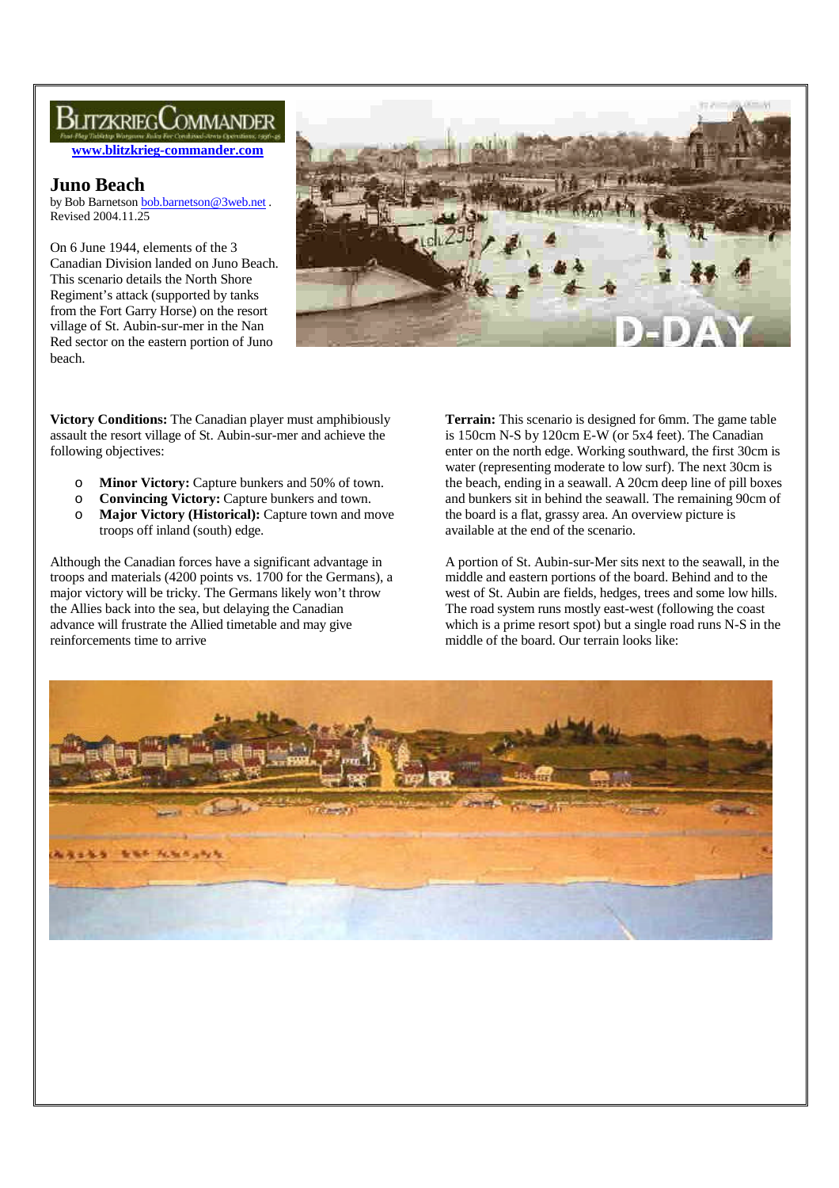# BlitzkriegCommander

**www.blitzkrieg-commander.com**

# **Juno Beach**

by Bob Barnetson bob.barnetson@3web.net . Revised 2004.11.25

On 6 June 1944, elements of the 3 Canadian Division landed on Juno Beach. This scenario details the North Shore Regiment's attack (supported by tanks from the Fort Garry Horse) on the resort village of St. Aubin-sur-mer in the Nan Red sector on the eastern portion of Juno beach.



**Victory Conditions:** The Canadian player must amphibiously assault the resort village of St. Aubin-sur-mer and achieve the following objectives:

- o **Minor Victory:** Capture bunkers and 50% of town.
- o **Convincing Victory:** Capture bunkers and town.
- o **Major Victory (Historical):** Capture town and move troops off inland (south) edge.

Although the Canadian forces have a significant advantage in troops and materials (4200 points vs. 1700 for the Germans), a major victory will be tricky. The Germans likely won't throw the Allies back into the sea, but delaying the Canadian advance will frustrate the Allied timetable and may give reinforcements time to arrive

**Terrain:** This scenario is designed for 6mm. The game table is 150cm N-S by 120cm E-W (or 5x4 feet). The Canadian enter on the north edge. Working southward, the first 30cm is water (representing moderate to low surf). The next 30cm is the beach, ending in a seawall. A 20cm deep line of pill boxes and bunkers sit in behind the seawall. The remaining 90cm of the board is a flat, grassy area. An overview picture is available at the end of the scenario.

A portion of St. Aubin-sur-Mer sits next to the seawall, in the middle and eastern portions of the board. Behind and to the west of St. Aubin are fields, hedges, trees and some low hills. The road system runs mostly east-west (following the coast which is a prime resort spot) but a single road runs N-S in the middle of the board. Our terrain looks like:

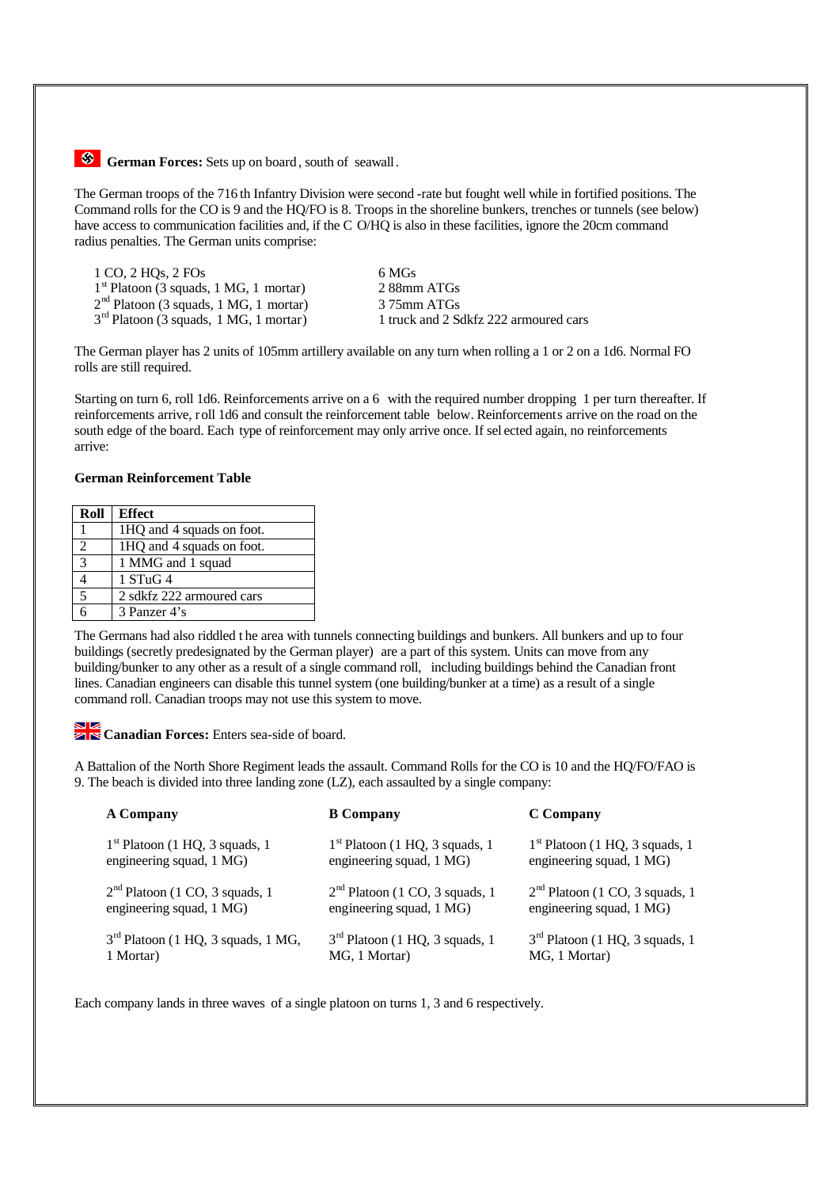

The German troops of the 716 th Infantry Division were second -rate but fought well while in fortified positions. The Command rolls for the CO is 9 and the HQ/FO is 8. Troops in the shoreline bunkers, trenches or tunnels (see below) have access to communication facilities and, if the C O/HQ is also in these facilities, ignore the 20cm command radius penalties. The German units comprise:

| 1 CO, 2 HOs, 2 FOs                       | 6 MGs   |
|------------------------------------------|---------|
| $1st$ Platoon (3 squads, 1 MG, 1 mortar) | 288m    |
| $2nd$ Platoon (3 squads, 1 MG, 1 mortar) | 3 75m   |
| $3rd$ Platoon (3 squads, 1 MG, 1 mortar) | 1 truck |

 $2.88$ mm ATGs 3 75mm ATGs 1 truck and 2 Sdkfz 222 armoured cars

The German player has 2 units of 105mm artillery available on any turn when rolling a 1 or 2 on a 1d6. Normal FO rolls are still required.

Starting on turn 6, roll 1d6. Reinforcements arrive on a 6 with the required number dropping 1 per turn thereafter. If reinforcements arrive, roll 1d6 and consult the reinforcement table below. Reinforcements arrive on the road on the south edge of the board. Each type of reinforcement may only arrive once. If sel ected again, no reinforcements arrive:

#### **German Reinforcement Table**

| Roll | <b>Effect</b>             |
|------|---------------------------|
|      | 1HQ and 4 squads on foot. |
|      | 1HQ and 4 squads on foot. |
| 3    | 1 MMG and 1 squad         |
|      | $1$ STuG 4                |
| 5    | 2 sdkfz 222 armoured cars |
|      | 3 Panzer 4's              |
|      |                           |

The Germans had also riddled t he area with tunnels connecting buildings and bunkers. All bunkers and up to four buildings (secretly predesignated by the German player) are a part of this system. Units can move from any building/bunker to any other as a result of a single command roll, including buildings behind the Canadian front lines. Canadian engineers can disable this tunnel system (one building/bunker at a time) as a result of a single command roll. Canadian troops may not use this system to move.

# **Canadian Forces:** Enters sea-side of board.

A Battalion of the North Shore Regiment leads the assault. Command Rolls for the CO is 10 and the HQ/FO/FAO is 9. The beach is divided into three landing zone (LZ), each assaulted by a single company:

| <b>A Company</b>                     | <b>B</b> Company                 | C Company                        |
|--------------------------------------|----------------------------------|----------------------------------|
| $1st$ Platoon (1 HQ, 3 squads, 1     | $1st$ Platoon (1 HQ, 3 squads, 1 | $1st$ Platoon (1 HQ, 3 squads, 1 |
| engineering squad, 1 MG)             | engineering squad, 1 MG)         | engineering squad, 1 MG)         |
| $2nd$ Platoon (1 CO, 3 squads, 1     | $2nd$ Platoon (1 CO, 3 squads, 1 | $2nd$ Platoon (1 CO, 3 squads, 1 |
| engineering squad, 1 MG)             | engineering squad, 1 MG)         | engineering squad, 1 MG)         |
| $3rd$ Platoon (1 HQ, 3 squads, 1 MG, | $3rd$ Platoon (1 HQ, 3 squads, 1 | $3rd$ Platoon (1 HQ, 3 squads, 1 |
| 1 Mortar)                            | MG, 1 Mortar)                    | MG, 1 Mortar)                    |

Each company lands in three waves of a single platoon on turns 1, 3 and 6 respectively.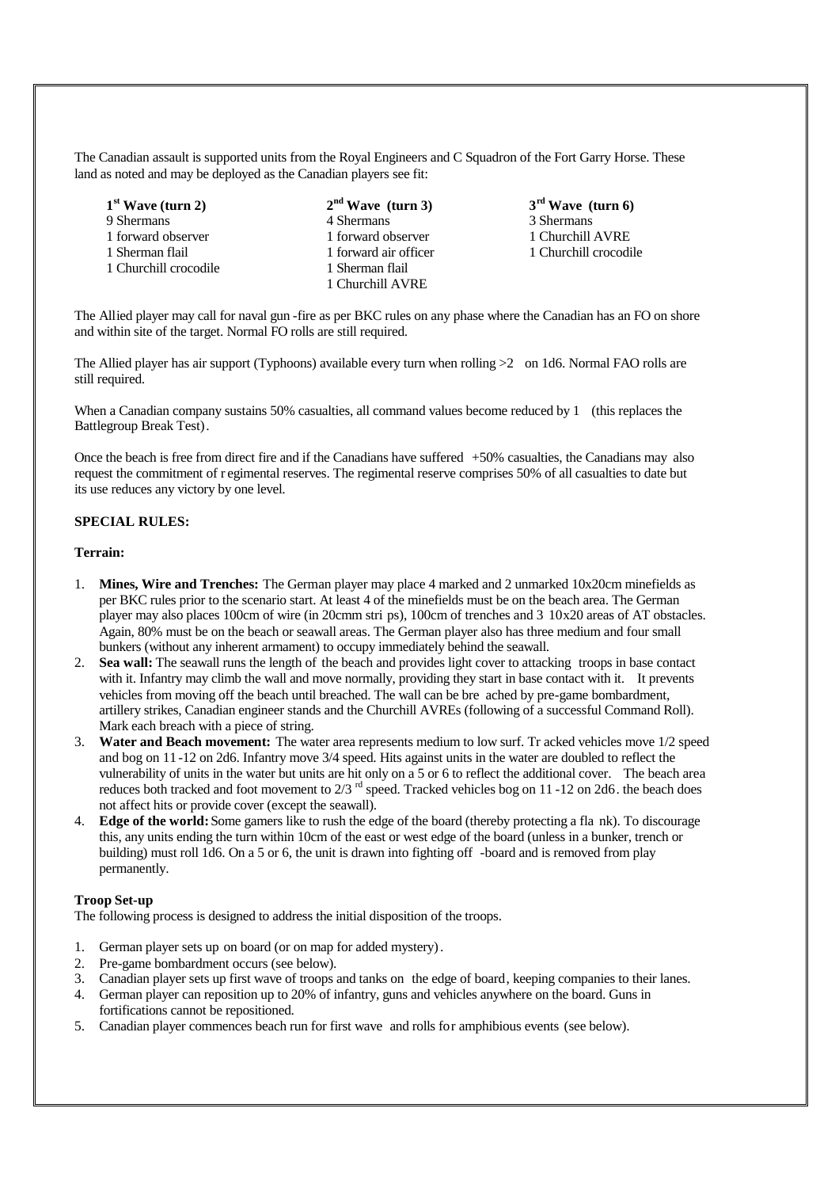The Canadian assault is supported units from the Royal Engineers and C Squadron of the Fort Garry Horse. These land as noted and may be deployed as the Canadian players see fit:

- **1 st Wave (turn 2) 2** 9 Shermans 3 Shermans 4 Shermans 3 Shermans 3 Shermans 3 Shermans 3 Shermans 3 Shermans 3 Shermans 3 Shermans 3 Shermans 3 Shermans 3 Shermans 3 Shermans 3 Shermans 3 Shermans 3 Shermans 3 Shermans 3 Shermans 3 Shermans 3 1 forward observer 1 forward observer 1 Churchill AVRE 1 Sherman flail 1 forward air officer 1 Churchill crocodile 1 Churchill crocodile 1 Sherman flail
- **nd Wave (turn 3) 3** 1 Churchill AVRE
	- **rd Wave (turn 6)**

The Allied player may call for naval gun -fire as per BKC rules on any phase where the Canadian has an FO on shore and within site of the target. Normal FO rolls are still required.

The Allied player has air support (Typhoons) available every turn when rolling >2 on 1d6. Normal FAO rolls are still required.

When a Canadian company sustains 50% casualties, all command values become reduced by 1 (this replaces the Battlegroup Break Test).

Once the beach is free from direct fire and if the Canadians have suffered +50% casualties, the Canadians may also request the commitment of r egimental reserves. The regimental reserve comprises 50% of all casualties to date but its use reduces any victory by one level.

## **SPECIAL RULES:**

#### **Terrain:**

- 1. **Mines, Wire and Trenches:** The German player may place 4 marked and 2 unmarked 10x20cm minefields as per BKC rules prior to the scenario start. At least 4 of the minefields must be on the beach area. The German player may also places 100cm of wire (in 20cmm stri ps), 100cm of trenches and 3 10x20 areas of AT obstacles. Again, 80% must be on the beach or seawall areas. The German player also has three medium and four small bunkers (without any inherent armament) to occupy immediately behind the seawall.
- 2. **Sea wall:** The seawall runs the length of the beach and provides light cover to attacking troops in base contact with it. Infantry may climb the wall and move normally, providing they start in base contact with it. It prevents vehicles from moving off the beach until breached. The wall can be bre ached by pre-game bombardment, artillery strikes, Canadian engineer stands and the Churchill AVREs (following of a successful Command Roll). Mark each breach with a piece of string.
- 3. **Water and Beach movement:** The water area represents medium to low surf. Tr acked vehicles move 1/2 speed and bog on 11 -12 on 2d6. Infantry move 3/4 speed. Hits against units in the water are doubled to reflect the vulnerability of units in the water but units are hit only on a 5 or 6 to reflect the additional cover. The beach area reduces both tracked and foot movement to 2/3 <sup>rd</sup> speed. Tracked vehicles bog on 11 -12 on 2d6. the beach does not affect hits or provide cover (except the seawall).
- 4. **Edge of the world:** Some gamers like to rush the edge of the board (thereby protecting a fla nk). To discourage this, any units ending the turn within 10cm of the east or west edge of the board (unless in a bunker, trench or building) must roll 1d6. On a 5 or 6, the unit is drawn into fighting off -board and is removed from play permanently.

#### **Troop Set-up**

The following process is designed to address the initial disposition of the troops.

- 1. German player sets up on board (or on map for added mystery).
- 2. Pre-game bombardment occurs (see below).
- 3. Canadian player sets up first wave of troops and tanks on the edge of board, keeping companies to their lanes.
- 4. German player can reposition up to 20% of infantry, guns and vehicles anywhere on the board. Guns in fortifications cannot be repositioned.
- 5. Canadian player commences beach run for first wave and rolls for amphibious events (see below).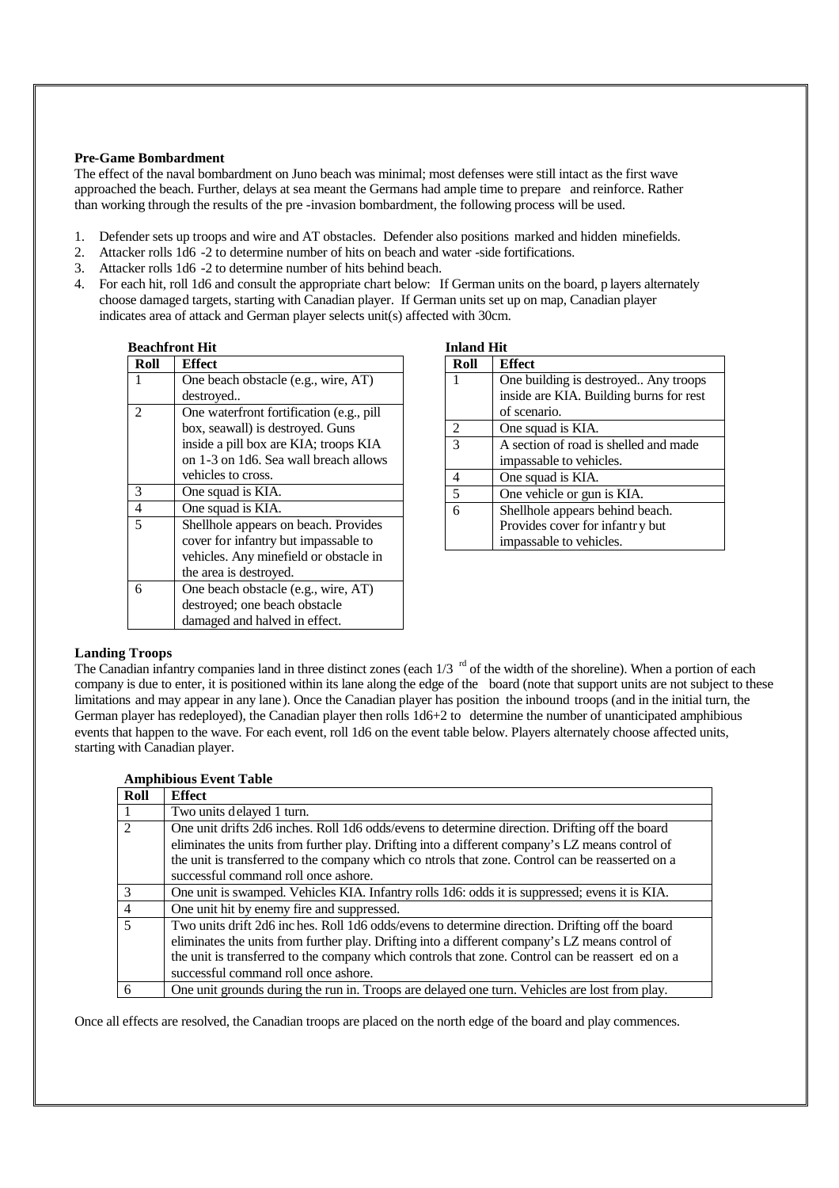#### **Pre-Game Bombardment**

The effect of the naval bombardment on Juno beach was minimal; most defenses were still intact as the first wave approached the beach. Further, delays at sea meant the Germans had ample time to prepare and reinforce. Rather than working through the results of the pre -invasion bombardment, the following process will be used.

- 1. Defender sets up troops and wire and AT obstacles. Defender also positions marked and hidden minefields.
- 2. Attacker rolls 1d6 -2 to determine number of hits on beach and water -side fortifications.
- 3. Attacker rolls 1d6 -2 to determine number of hits behind beach.
- 4. For each hit, roll 1d6 and consult the appropriate chart below: If German units on the board, p layers alternately choose damaged targets, starting with Canadian player. If German units set up on map, Canadian player indicates area of attack and German player selects unit(s) affected with 30cm.

| <b>Beachfront Hit</b> |                                          |  |
|-----------------------|------------------------------------------|--|
| Roll                  | <b>Effect</b>                            |  |
|                       | One beach obstacle (e.g., wire, AT)      |  |
|                       | destroved                                |  |
| 2                     | One waterfront fortification (e.g., pill |  |
|                       | box, seawall) is destroyed. Guns         |  |
|                       | inside a pill box are KIA; troops KIA    |  |
|                       | on 1-3 on 1d6. Sea wall breach allows    |  |
|                       | vehicles to cross.                       |  |
| 3                     | One squad is KIA.                        |  |
| $\overline{4}$        | One squad is KIA.                        |  |
| 5                     | Shellhole appears on beach. Provides     |  |
|                       | cover for infantry but impassable to     |  |
|                       | vehicles. Any minefield or obstacle in   |  |
|                       | the area is destroyed.                   |  |
| 6                     | One beach obstacle (e.g., wire, AT)      |  |
|                       | destroyed; one beach obstacle            |  |
|                       | damaged and halved in effect.            |  |

| <b>Inland Hit</b>           |                                         |  |
|-----------------------------|-----------------------------------------|--|
| Roll                        | <b>Effect</b>                           |  |
|                             | One building is destroyed Any troops    |  |
|                             | inside are KIA. Building burns for rest |  |
|                             | of scenario.                            |  |
| $\mathcal{D}_{\mathcal{L}}$ | One squad is KIA.                       |  |
| $\mathcal{E}$               | A section of road is shelled and made   |  |
|                             | impassable to vehicles.                 |  |
| 4                           | One squad is KIA.                       |  |
| 5                           | One vehicle or gun is KIA.              |  |
| 6                           | Shellhole appears behind beach.         |  |
|                             | Provides cover for infantry but         |  |
|                             | impassable to vehicles.                 |  |

## **Landing Troops**

The Canadian infantry companies land in three distinct zones (each  $1/3$  <sup>rd</sup> of the width of the shoreline). When a portion of each company is due to enter, it is positioned within its lane along the edge of the board (note that support units are not subject to these limitations and may appear in any lane). Once the Canadian player has position the inbound troops (and in the initial turn, the German player has redeployed), the Canadian player then rolls 1d6+2 to determine the number of unanticipated amphibious events that happen to the wave. For each event, roll 1d6 on the event table below. Players alternately choose affected units, starting with Canadian player.

| Roll           | <b>Effect</b>                                                                                    |
|----------------|--------------------------------------------------------------------------------------------------|
|                | Two units delayed 1 turn.                                                                        |
| $\mathcal{L}$  | One unit drifts 2d6 inches. Roll 1d6 odds/evens to determine direction. Drifting off the board   |
|                | eliminates the units from further play. Drifting into a different company's LZ means control of  |
|                | the unit is transferred to the company which co ntrols that zone. Control can be reasserted on a |
|                | successful command roll once ashore.                                                             |
| $\mathcal{R}$  | One unit is swamped. Vehicles KIA. Infantry rolls 1d6: odds it is suppressed; evens it is KIA.   |
| $\overline{4}$ | One unit hit by enemy fire and suppressed.                                                       |
| $\overline{5}$ | Two units drift 2d6 inches. Roll 1d6 odds/evens to determine direction. Drifting off the board   |
|                | eliminates the units from further play. Drifting into a different company's LZ means control of  |
|                | the unit is transferred to the company which controls that zone. Control can be reassert ed on a |
|                | successful command roll once ashore.                                                             |
| 6              | One unit grounds during the run in. Troops are delayed one turn. Vehicles are lost from play.    |

**Amphibious Event Table**

Once all effects are resolved, the Canadian troops are placed on the north edge of the board and play commences.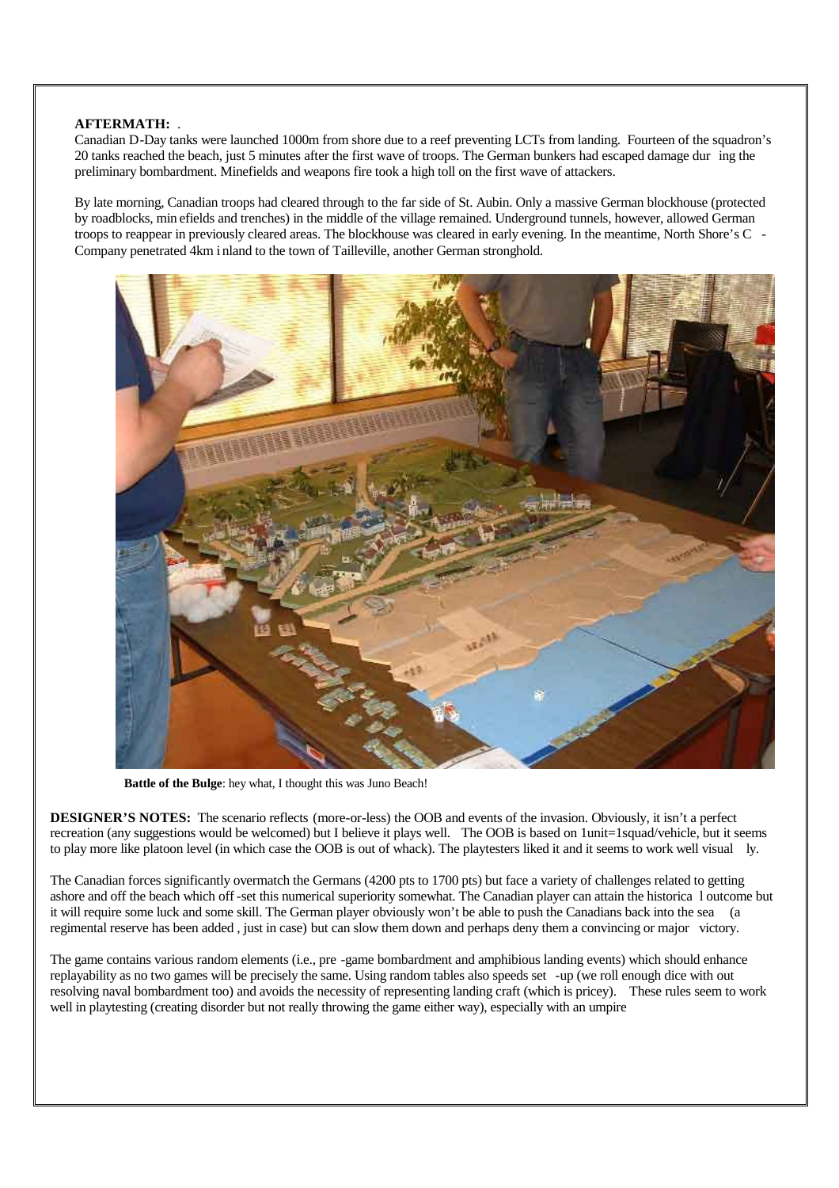## **AFTERMATH:** .

Canadian D-Day tanks were launched 1000m from shore due to a reef preventing LCTs from landing. Fourteen of the squadron's 20 tanks reached the beach, just 5 minutes after the first wave of troops. The German bunkers had escaped damage dur ing the preliminary bombardment. Minefields and weapons fire took a high toll on the first wave of attackers.

By late morning, Canadian troops had cleared through to the far side of St. Aubin. Only a massive German blockhouse (protected by roadblocks, min efields and trenches) in the middle of the village remained. Underground tunnels, however, allowed German troops to reappear in previously cleared areas. The blockhouse was cleared in early evening. In the meantime, North Shore's C - Company penetrated 4km i nland to the town of Tailleville, another German stronghold.



**Battle of the Bulge**: hey what, I thought this was Juno Beach!

**DESIGNER'S NOTES:** The scenario reflects (more-or-less) the OOB and events of the invasion. Obviously, it isn't a perfect recreation (any suggestions would be welcomed) but I believe it plays well. The OOB is based on 1unit=1squad/vehicle, but it seems to play more like platoon level (in which case the OOB is out of whack). The playtesters liked it and it seems to work well visual ly.

The Canadian forces significantly overmatch the Germans (4200 pts to 1700 pts) but face a variety of challenges related to getting ashore and off the beach which off-set this numerical superiority somewhat. The Canadian player can attain the historica l outcome but it will require some luck and some skill. The German player obviously won't be able to push the Canadians back into the sea (a regimental reserve has been added , just in case) but can slow them down and perhaps deny them a convincing or major victory.

The game contains various random elements (i.e., pre -game bombardment and amphibious landing events) which should enhance replayability as no two games will be precisely the same. Using random tables also speeds set -up (we roll enough dice with out resolving naval bombardment too) and avoids the necessity of representing landing craft (which is pricey). These rules seem to work well in playtesting (creating disorder but not really throwing the game either way), especially with an umpire